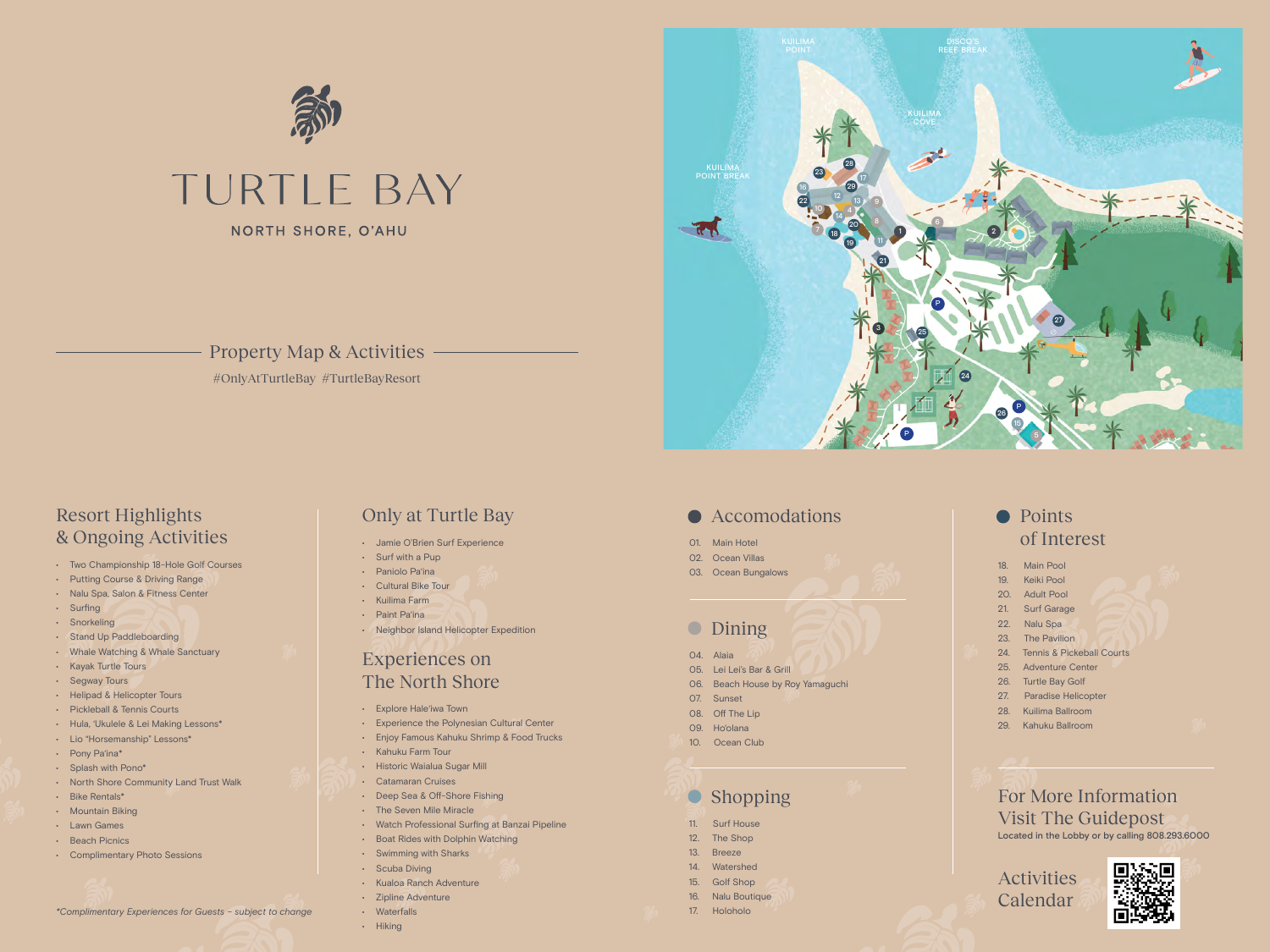- 01. Main Hotel
- 02. Ocean Villas
- 03. Ocean Bungalows

## • Dining

## • Points of Interest

- 18. Main Pool
- 19. Keiki Pool
- 20. Adult Pool
- 21. Surf Garage
- 22. Nalu Spa
- 23. The Pavilion
- 24. Tennis & Pickeball Courts
- 25. Adventure Center
- 26. Turtle Bay Golf
- 27. Paradise Helicopter
- 28. Kuilima Ballroom
- 29. Kahuku Ballroom

For More Information Visit The Guidepost Located in the Lobby or by calling 808.293.6000

Activities Calendar



- 04. Alaia
- 05. Lei Lei's Bar & Grill
- 06. Beach House by Roy Yamaguchi
- 07. Sunset
- 08. Off The Lip
- 09. Ho'olana
- 10. Ocean Club

# **Shopping**

## Resort Highlights & Ongoing Activities

- Two Championship 18-Hole Golf Courses
- Putting Course & Driving Range
- Nalu Spa, Salon & Fitness Center
- Surfing
- Snorkeling
- Stand Up Paddleboarding
- Whale Watching & Whale Sanctuary
- Kayak Turtle Tours
- Segway Tours
- Helipad & Helicopter Tours
- Pickleball & Tennis Courts
- Hula, 'Ukulele & Lei Making Lessons\*
- Lio "Horsemanship" Lessons\*
- Pony Pa'ina\*
- Splash with Pono\*
- North Shore Community Land Trust Walk
- Bike Rentals\*
- Mountain Biking
- Lawn Games
- Beach Picnics
- Complimentary Photo Sessions

# Only at Turtle Bay

- Jamie O'Brien Surf Experience
- Surf with a Pup
- Paniolo Pa'ina
- Cultural Bike Tour
- Kuilima Farm
- Paint Pa'ina
- Neighbor Island Helicopter Expedition

### Experiences on The North Shore

- Explore Hale'iwa Town
- Experience the Polynesian Cultural Center
- Enjoy Famous Kahuku Shrimp & Food Trucks
- Kahuku Farm Tour
- Historic Waialua Sugar Mill
- Catamaran Cruises
- Deep Sea & Off-Shore Fishing
- The Seven Mile Miracle
- Watch Professional Surfing at Banzai Pipeline
- Boat Rides with Dolphin Watching
- Swimming with Sharks
- Scuba Diving
- Kualoa Ranch Adventure
- Zipline Adventure
- Waterfalls • Hiking
- 11. Surf House
- 12. The Shop
- 13. Breeze
- 14. Watershed
- 15. Golf Shop
- 16. Nalu Boutique
- 17. Holoholo

*\*Complimentary Experiences for Guests – subject to change*



### Property Map & Activities



#### ● Accomodations

#OnlyAtTurtleBay #TurtleBayResort